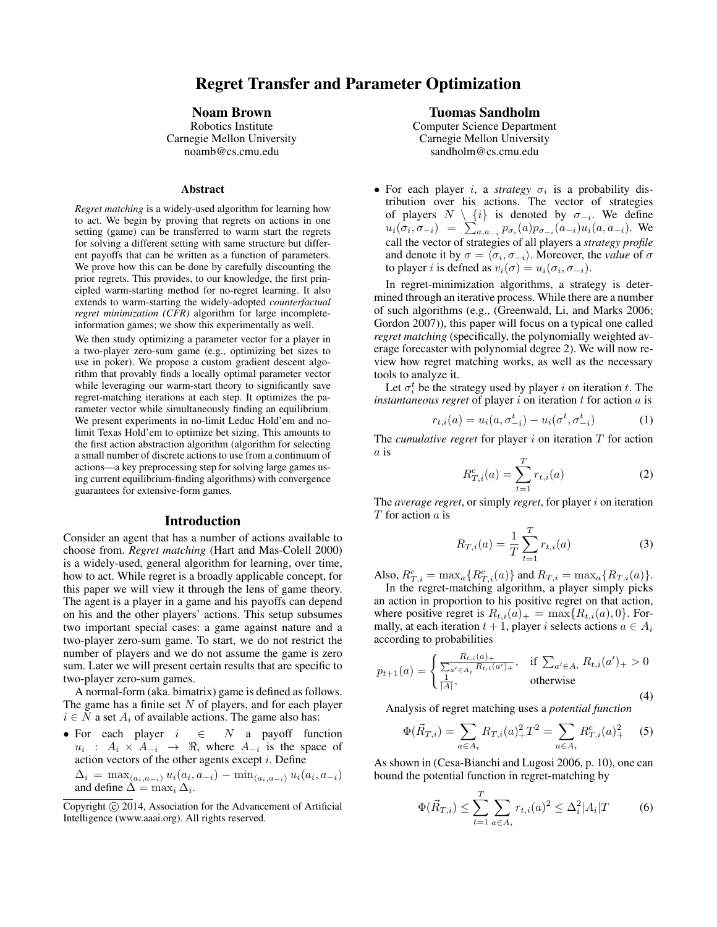# Regret Transfer and Parameter Optimization

### Noam Brown

Robotics Institute Carnegie Mellon University noamb@cs.cmu.edu

#### Abstract

*Regret matching* is a widely-used algorithm for learning how to act. We begin by proving that regrets on actions in one setting (game) can be transferred to warm start the regrets for solving a different setting with same structure but different payoffs that can be written as a function of parameters. We prove how this can be done by carefully discounting the prior regrets. This provides, to our knowledge, the first principled warm-starting method for no-regret learning. It also extends to warm-starting the widely-adopted *counterfactual regret minimization (CFR)* algorithm for large incompleteinformation games; we show this experimentally as well.

We then study optimizing a parameter vector for a player in a two-player zero-sum game (e.g., optimizing bet sizes to use in poker). We propose a custom gradient descent algorithm that provably finds a locally optimal parameter vector while leveraging our warm-start theory to significantly save regret-matching iterations at each step. It optimizes the parameter vector while simultaneously finding an equilibrium. We present experiments in no-limit Leduc Hold'em and nolimit Texas Hold'em to optimize bet sizing. This amounts to the first action abstraction algorithm (algorithm for selecting a small number of discrete actions to use from a continuum of actions—a key preprocessing step for solving large games using current equilibrium-finding algorithms) with convergence guarantees for extensive-form games.

#### Introduction

Consider an agent that has a number of actions available to choose from. *Regret matching* (Hart and Mas-Colell 2000) is a widely-used, general algorithm for learning, over time, how to act. While regret is a broadly applicable concept, for this paper we will view it through the lens of game theory. The agent is a player in a game and his payoffs can depend on his and the other players' actions. This setup subsumes two important special cases: a game against nature and a two-player zero-sum game. To start, we do not restrict the number of players and we do not assume the game is zero sum. Later we will present certain results that are specific to two-player zero-sum games.

A normal-form (aka. bimatrix) game is defined as follows. The game has a finite set  $N$  of players, and for each player  $i \in N$  a set  $A_i$  of available actions. The game also has:

• For each player  $i \in N$  a payoff function  $u_i$ :  $A_i \times A_{-i} \rightarrow \Re$ , where  $A_{-i}$  is the space of action vectors of the other agents except  $i$ . Define  $\Delta_i = \max_{\langle a_i, a_{-i} \rangle} u_i(a_i, a_{-i}) - \min_{\langle a_i, a_{-i} \rangle} u_i(a_i, a_{-i})$ 

and define  $\Delta = \max_i \Delta_i$ .

## Tuomas Sandholm

Computer Science Department Carnegie Mellon University sandholm@cs.cmu.edu

• For each player *i*, a *strategy*  $\sigma_i$  is a probability distribution over his actions. The vector of strategies of players  $N \setminus \{i\}$  is denoted by  $\sigma_{-i}$ . We define  $u_i(\sigma_i, \sigma_{-i}) = \sum_{a,a_{-i}} p_{\sigma_i}(a) p_{\sigma_{-i}}(a_{-i}) u_i(a, a_{-i}).$  We call the vector of strategies of all players a *strategy profile* and denote it by  $\sigma = \langle \sigma_i, \sigma_{-i} \rangle$ . Moreover, the *value* of  $\sigma$ to player *i* is defned as  $v_i(\sigma) = u_i(\sigma_i, \sigma_{-i}).$ 

In regret-minimization algorithms, a strategy is determined through an iterative process. While there are a number of such algorithms (e.g., (Greenwald, Li, and Marks 2006; Gordon 2007)), this paper will focus on a typical one called *regret matching* (specifically, the polynomially weighted average forecaster with polynomial degree 2). We will now review how regret matching works, as well as the necessary tools to analyze it.

Let  $\sigma_i^t$  be the strategy used by player i on iteration t. The *instantaneous regret* of player  $i$  on iteration  $t$  for action  $a$  is

$$
r_{t,i}(a) = u_i(a, \sigma_{-i}^t) - u_i(\sigma^t, \sigma_{-i}^t)
$$
 (1)

The *cumulative regret* for player  $i$  on iteration  $T$  for action a is  $\overline{f}$ 

$$
R_{T,i}^c(a) = \sum_{t=1}^{I} r_{t,i}(a)
$$
 (2)

The *average regret*, or simply *regret*, for player i on iteration T for action a is

$$
R_{T,i}(a) = \frac{1}{T} \sum_{t=1}^{T} r_{t,i}(a)
$$
 (3)

Also,  $R_{T,i}^c = \max_a \{ R_{T,i}^c(a) \}$  and  $R_{T,i} = \max_a \{ R_{T,i}(a) \}.$ 

In the regret-matching algorithm, a player simply picks an action in proportion to his positive regret on that action, where positive regret is  $R_{t,i}(a)_+ = \max\{R_{t,i}(a), 0\}$ . Formally, at each iteration  $t + 1$ , player i selects actions  $a \in A_i$ according to probabilities

$$
p_{t+1}(a) = \begin{cases} \frac{R_{t,i}(a)_{+}}{\sum_{a' \in A_i} R_{t,i}(a')_{+}}, & \text{if } \sum_{a' \in A_i} R_{t,i}(a')_{+} > 0\\ \frac{1}{|A|}, & \text{otherwise} \end{cases}
$$
(4)

Analysis of regret matching uses a *potential function*

$$
\Phi(\vec{R}_{T,i}) = \sum_{a \in A_i} R_{T,i}(a)_+^2 T^2 = \sum_{a \in A_i} R_{T,i}^c(a)_+^2 \tag{5}
$$

As shown in (Cesa-Bianchi and Lugosi 2006, p. 10), one can bound the potential function in regret-matching by

$$
\Phi(\vec{R}_{T,i}) \le \sum_{t=1}^{T} \sum_{a \in A_i} r_{t,i}(a)^2 \le \Delta_i^2 |A_i| T \tag{6}
$$

Copyright © 2014, Association for the Advancement of Artificial Intelligence (www.aaai.org). All rights reserved.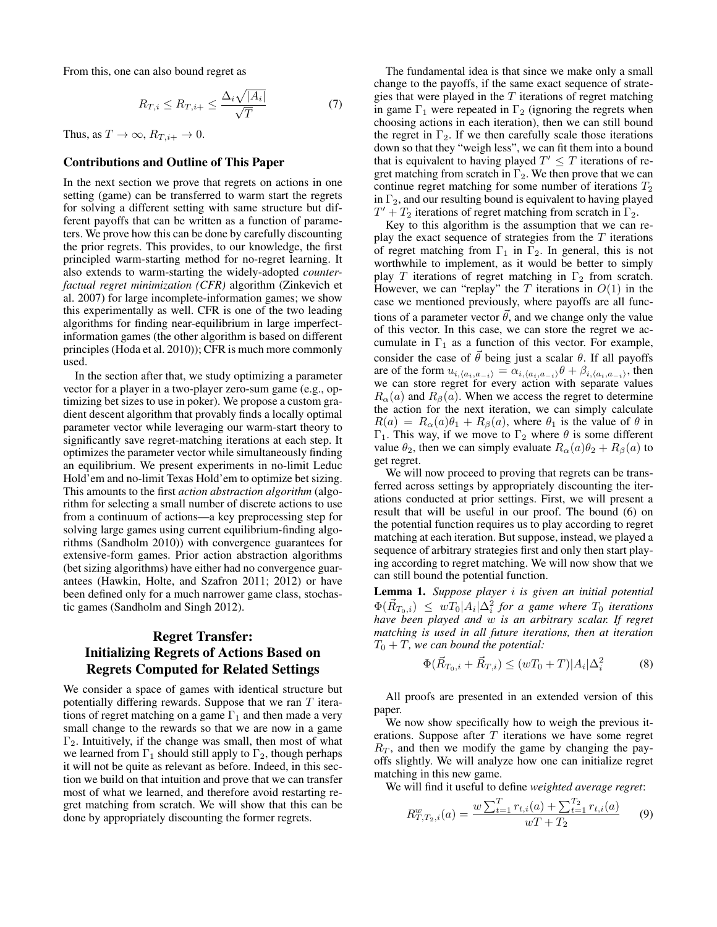From this, one can also bound regret as

$$
R_{T,i} \le R_{T,i+} \le \frac{\Delta_i \sqrt{|A_i|}}{\sqrt{T}} \tag{7}
$$

Thus, as  $T \to \infty$ ,  $R_{T,i+} \to 0$ .

### Contributions and Outline of This Paper

In the next section we prove that regrets on actions in one setting (game) can be transferred to warm start the regrets for solving a different setting with same structure but different payoffs that can be written as a function of parameters. We prove how this can be done by carefully discounting the prior regrets. This provides, to our knowledge, the first principled warm-starting method for no-regret learning. It also extends to warm-starting the widely-adopted *counterfactual regret minimization (CFR)* algorithm (Zinkevich et al. 2007) for large incomplete-information games; we show this experimentally as well. CFR is one of the two leading algorithms for finding near-equilibrium in large imperfectinformation games (the other algorithm is based on different principles (Hoda et al. 2010)); CFR is much more commonly used.

In the section after that, we study optimizing a parameter vector for a player in a two-player zero-sum game (e.g., optimizing bet sizes to use in poker). We propose a custom gradient descent algorithm that provably finds a locally optimal parameter vector while leveraging our warm-start theory to significantly save regret-matching iterations at each step. It optimizes the parameter vector while simultaneously finding an equilibrium. We present experiments in no-limit Leduc Hold'em and no-limit Texas Hold'em to optimize bet sizing. This amounts to the first *action abstraction algorithm* (algorithm for selecting a small number of discrete actions to use from a continuum of actions—a key preprocessing step for solving large games using current equilibrium-finding algorithms (Sandholm 2010)) with convergence guarantees for extensive-form games. Prior action abstraction algorithms (bet sizing algorithms) have either had no convergence guarantees (Hawkin, Holte, and Szafron 2011; 2012) or have been defined only for a much narrower game class, stochastic games (Sandholm and Singh 2012).

## Regret Transfer: Initializing Regrets of Actions Based on Regrets Computed for Related Settings

We consider a space of games with identical structure but potentially differing rewards. Suppose that we ran  $T$  iterations of regret matching on a game  $\Gamma_1$  and then made a very small change to the rewards so that we are now in a game  $\Gamma_2$ . Intuitively, if the change was small, then most of what we learned from  $\Gamma_1$  should still apply to  $\Gamma_2$ , though perhaps it will not be quite as relevant as before. Indeed, in this section we build on that intuition and prove that we can transfer most of what we learned, and therefore avoid restarting regret matching from scratch. We will show that this can be done by appropriately discounting the former regrets.

The fundamental idea is that since we make only a small change to the payoffs, if the same exact sequence of strategies that were played in the  $T$  iterations of regret matching in game  $\Gamma_1$  were repeated in  $\Gamma_2$  (ignoring the regrets when choosing actions in each iteration), then we can still bound the regret in  $\Gamma_2$ . If we then carefully scale those iterations down so that they "weigh less", we can fit them into a bound that is equivalent to having played  $T' \leq T$  iterations of regret matching from scratch in  $\Gamma_2$ . We then prove that we can continue regret matching for some number of iterations  $T_2$ in  $\Gamma_2$ , and our resulting bound is equivalent to having played  $T' + T_2$  iterations of regret matching from scratch in  $\Gamma_2$ .

Key to this algorithm is the assumption that we can replay the exact sequence of strategies from the  $T$  iterations of regret matching from  $\Gamma_1$  in  $\Gamma_2$ . In general, this is not worthwhile to implement, as it would be better to simply play T iterations of regret matching in  $\Gamma_2$  from scratch. However, we can "replay" the  $T$  iterations in  $O(1)$  in the case we mentioned previously, where payoffs are all functions of a parameter vector  $\vec{\theta}$ , and we change only the value of this vector. In this case, we can store the regret we accumulate in  $\Gamma_1$  as a function of this vector. For example, consider the case of  $\vec{\theta}$  being just a scalar  $\theta$ . If all payoffs are of the form  $u_{i,(a_i,a_{-i})} = \alpha_{i,(a_i,a_{-i})} \theta + \beta_{i,(a_i,a_{-i})}$ , then we can store regret for every action with separate values  $R_\alpha(a)$  and  $R_\beta(a)$ . When we access the regret to determine the action for the next iteration, we can simply calculate  $R(a) = R_{\alpha}(a)\theta_1 + R_{\beta}(a)$ , where  $\theta_1$  is the value of  $\theta$  in Γ<sub>1</sub>. This way, if we move to Γ<sub>2</sub> where  $\theta$  is some different value  $\theta_2$ , then we can simply evaluate  $R_\alpha(a)\theta_2 + R_\beta(a)$  to get regret.

We will now proceed to proving that regrets can be transferred across settings by appropriately discounting the iterations conducted at prior settings. First, we will present a result that will be useful in our proof. The bound (6) on the potential function requires us to play according to regret matching at each iteration. But suppose, instead, we played a sequence of arbitrary strategies first and only then start playing according to regret matching. We will now show that we can still bound the potential function.

Lemma 1. *Suppose player* i *is given an initial potential*  $\Phi(\vec{R}_{T_0,i}) \leq wT_0|A_i|\Delta_i^2$  for a game where  $T_0$  iterations *have been played and* w *is an arbitrary scalar. If regret matching is used in all future iterations, then at iteration*  $T_0 + T$ , we can bound the potential:

$$
\Phi(\vec{R}_{T_0,i} + \vec{R}_{T,i}) \le (wT_0 + T)|A_i|\Delta_i^2 \tag{8}
$$

All proofs are presented in an extended version of this paper.

We now show specifically how to weigh the previous iterations. Suppose after  $T$  iterations we have some regret  $R<sub>T</sub>$ , and then we modify the game by changing the payoffs slightly. We will analyze how one can initialize regret matching in this new game.

We will find it useful to define *weighted average regret*:

$$
R_{T,T_2,i}^w(a) = \frac{w \sum_{t=1}^T r_{t,i}(a) + \sum_{t=1}^{T_2} r_{t,i}(a)}{wT + T_2}
$$
(9)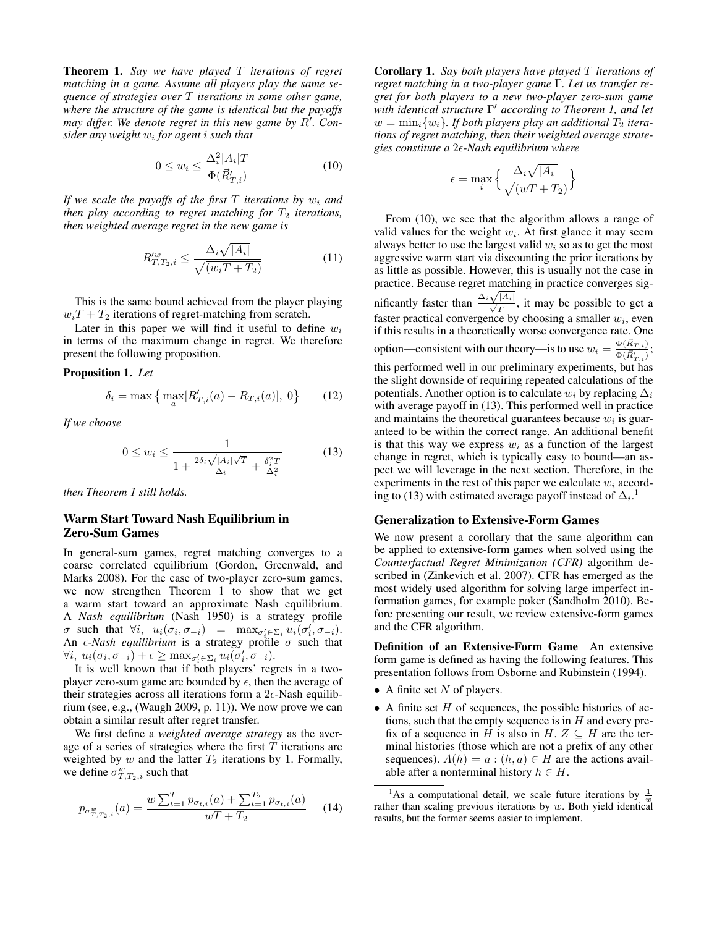Theorem 1. *Say we have played* T *iterations of regret matching in a game. Assume all players play the same sequence of strategies over* T *iterations in some other game, where the structure of the game is identical but the payoffs* may differ. We denote regret in this new game by R'. Con*sider any weight* w<sup>i</sup> *for agent* i *such that*

$$
0 \le w_i \le \frac{\Delta_i^2 |A_i| T}{\Phi(\vec{R}_{T,i}')} \tag{10}
$$

*If we scale the payoffs of the first*  $T$  *iterations by*  $w_i$  *and then play according to regret matching for*  $T_2$  *iterations, then weighted average regret in the new game is*

$$
R_{T,T_2,i}^{\prime w} \le \frac{\Delta_i \sqrt{|A_i|}}{\sqrt{(w_i T + T_2)}}
$$
\n(11)

This is the same bound achieved from the player playing  $w_iT + T_2$  iterations of regret-matching from scratch.

Later in this paper we will find it useful to define  $w_i$ in terms of the maximum change in regret. We therefore present the following proposition.

Proposition 1. *Let*

$$
\delta_i = \max \left\{ \max_a [R'_{T,i}(a) - R_{T,i}(a)], 0 \right\} \tag{12}
$$

*If we choose*

$$
0 \le w_i \le \frac{1}{1 + \frac{2\delta_i\sqrt{|A_i|}\sqrt{T}}{\Delta_i} + \frac{\delta_i^2 T}{\Delta_i^2}} \tag{13}
$$

*then Theorem 1 still holds.*

## Warm Start Toward Nash Equilibrium in Zero-Sum Games

In general-sum games, regret matching converges to a coarse correlated equilibrium (Gordon, Greenwald, and Marks 2008). For the case of two-player zero-sum games, we now strengthen Theorem 1 to show that we get a warm start toward an approximate Nash equilibrium. A *Nash equilibrium* (Nash 1950) is a strategy profile  $\sigma$  such that  $\forall i, u_i(\sigma_i, \sigma_{-i}) = \max_{\sigma'_i \in \Sigma_i} u_i(\sigma'_i, \sigma_{-i}).$ An  $\epsilon$ -Nash equilibrium is a strategy profile  $\sigma$  such that  $\forall i, u_i(\sigma_i, \sigma_{-i}) + \epsilon \geq \max_{\sigma'_i \in \Sigma_i} u_i(\sigma'_i, \sigma_{-i}).$ 

It is well known that if both players' regrets in a twoplayer zero-sum game are bounded by  $\epsilon$ , then the average of their strategies across all iterations form a  $2\epsilon$ -Nash equilibrium (see, e.g., (Waugh 2009, p. 11)). We now prove we can obtain a similar result after regret transfer.

We first define a *weighted average strategy* as the average of a series of strategies where the first  $T$  iterations are weighted by  $w$  and the latter  $T_2$  iterations by 1. Formally, we define  $\sigma_{T,T_2,i}^w$  such that

$$
p_{\sigma_{T,T_2,i}^w}(a) = \frac{w \sum_{t=1}^T p_{\sigma_{t,i}}(a) + \sum_{t=1}^{T_2} p_{\sigma_{t,i}}(a)}{wT + T_2}
$$
(14)

Corollary 1. *Say both players have played* T *iterations of regret matching in a two-player game* Γ*. Let us transfer regret for both players to a new two-player zero-sum game with identical structure* Γ <sup>0</sup> *according to Theorem 1, and let*  $w = \min_i \{w_i\}$ . If both players play an additional  $T_2$  itera*tions of regret matching, then their weighted average strategies constitute a* 2*-Nash equilibrium where*

$$
\epsilon = \max_{i} \left\{ \frac{\Delta_i \sqrt{|A_i|}}{\sqrt{(wT + T_2)}} \right\}
$$

From (10), we see that the algorithm allows a range of valid values for the weight  $w_i$ . At first glance it may seem always better to use the largest valid  $w_i$  so as to get the most aggressive warm start via discounting the prior iterations by as little as possible. However, this is usually not the case in practice. Because regret matching in practice converges significantly faster than  $\frac{\Delta_i \sqrt{|\mathcal{A}_i|}}{\sqrt{T}}$ , it may be possible to get a faster practical convergence by choosing a smaller  $w_i$ , even if this results in a theoretically worse convergence rate. One option—consistent with our theory—is to use  $w_i = \frac{\Phi(\vec{R}_{T,i})}{\Phi(\vec{B}_{T,i})}$  $\frac{\Phi(R_{T,i})}{\Phi(\vec{R}_{T,i}^{\prime})};$ this performed well in our preliminary experiments, but has the slight downside of requiring repeated calculations of the potentials. Another option is to calculate  $w_i$  by replacing  $\Delta_i$ with average payoff in (13). This performed well in practice and maintains the theoretical guarantees because  $w_i$  is guaranteed to be within the correct range. An additional benefit is that this way we express  $w_i$  as a function of the largest change in regret, which is typically easy to bound—an aspect we will leverage in the next section. Therefore, in the experiments in the rest of this paper we calculate  $w_i$  according to (13) with estimated average payoff instead of  $\Delta_i$ .<sup>1</sup>

#### Generalization to Extensive-Form Games

We now present a corollary that the same algorithm can be applied to extensive-form games when solved using the *Counterfactual Regret Minimization (CFR)* algorithm described in (Zinkevich et al. 2007). CFR has emerged as the most widely used algorithm for solving large imperfect information games, for example poker (Sandholm 2010). Before presenting our result, we review extensive-form games and the CFR algorithm.

Definition of an Extensive-Form Game An extensive form game is defined as having the following features. This presentation follows from Osborne and Rubinstein (1994).

- A finite set  $N$  of players.
- $\bullet$  A finite set  $H$  of sequences, the possible histories of actions, such that the empty sequence is in  $H$  and every prefix of a sequence in H is also in H.  $Z \subseteq H$  are the terminal histories (those which are not a prefix of any other sequences).  $A(h) = a : (h, a) \in H$  are the actions available after a nonterminal history  $h \in H$ .

<sup>1</sup>As a computational detail, we scale future iterations by  $\frac{1}{w}$ rather than scaling previous iterations by  $w$ . Both yield identical results, but the former seems easier to implement.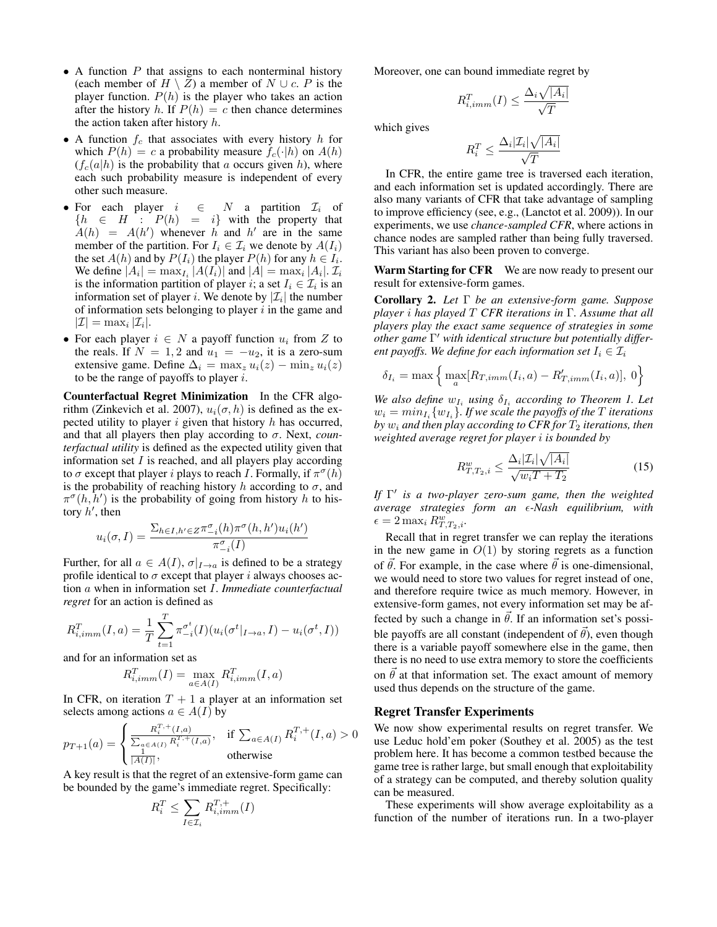- A function  $P$  that assigns to each nonterminal history (each member of  $H \setminus Z$ ) a member of  $N \cup c$ . P is the player function.  $P(h)$  is the player who takes an action after the history h. If  $P(h) = c$  then chance determines the action taken after history  $h$ .
- A function  $f_c$  that associates with every history h for which  $P(h) = c$  a probability measure  $f_c(\cdot|h)$  on  $A(h)$  $(f_c(a|h)$  is the probability that a occurs given h), where each such probability measure is independent of every other such measure.
- For each player  $i \in N$  a partition  $\mathcal{I}_i$  of  ${h \in H : P(h) = i}$  with the property that  $A(h) = A(h')$  whenever h and h' are in the same member of the partition. For  $I_i \in \mathcal{I}_i$  we denote by  $A(I_i)$ the set  $A(h)$  and by  $P(I_i)$  the player  $P(h)$  for any  $h \in I_i$ . We define  $|A_i| = \max_{I_i} |A(I_i)|$  and  $|A| = \max_i |A_i|$ .  $\mathcal{I}_i$ is the information partition of player *i*; a set  $I_i \in \mathcal{I}_i$  is an information set of player *i*. We denote by  $|\mathcal{I}_i|$  the number of information sets belonging to player  $i$  in the game and  $|\mathcal{I}| = \max_i |\mathcal{I}_i|.$
- For each player  $i \in N$  a payoff function  $u_i$  from Z to the reals. If  $N = 1, 2$  and  $u_1 = -u_2$ , it is a zero-sum extensive game. Define  $\Delta_i = \max_z u_i(z) - \min_z u_i(z)$ to be the range of payoffs to player  $i$ .

Counterfactual Regret Minimization In the CFR algorithm (Zinkevich et al. 2007),  $u_i(\sigma, h)$  is defined as the expected utility to player  $i$  given that history  $h$  has occurred, and that all players then play according to σ. Next, *counterfactual utility* is defined as the expected utility given that information set  $I$  is reached, and all players play according to  $\sigma$  except that player i plays to reach I. Formally, if  $\pi^{\sigma}(h)$ is the probability of reaching history h according to  $\sigma$ , and  $\pi^{\sigma}(h, h')$  is the probability of going from history h to history  $h'$ , then

$$
u_i(\sigma, I) = \frac{\sum_{h \in I, h' \in Z} \pi_{-i}^{\sigma}(h) \pi^{\sigma}(h, h') u_i(h')}{\pi_{-i}^{\sigma}(I)}
$$

Further, for all  $a \in A(I)$ ,  $\sigma|_{I \to a}$  is defined to be a strategy profile identical to  $\sigma$  except that player i always chooses action a when in information set I. *Immediate counterfactual regret* for an action is defined as

$$
R_{i,imm}^T(I, a) = \frac{1}{T} \sum_{t=1}^T \pi_{-i}^{\sigma^t}(I) (u_i(\sigma^t|_{I \to a}, I) - u_i(\sigma^t, I))
$$

and for an information set as

$$
R_{i,imm}^T(I) = \max_{a \in A(I)} R_{i,imm}^T(I, a)
$$

In CFR, on iteration  $T + 1$  a player at an information set selects among actions  $a \in A(I)$  by

$$
p_{T+1}(a) = \begin{cases} \frac{R_i^{T,+}(I,a)}{\sum_{a \in A(I)} R_i^{T,+}(I,a)}, & \text{if } \sum_{a \in A(I)} R_i^{T,+}(I,a) > 0\\ \frac{1}{|A(I)|}, & \text{otherwise} \end{cases}
$$

A key result is that the regret of an extensive-form game can be bounded by the game's immediate regret. Specifically:

$$
R_i^T \le \sum_{I \in \mathcal{I}_i} R_{i,imm}^{T,+}(I)
$$

Moreover, one can bound immediate regret by

$$
R_{i,imm}^T(I) \le \frac{\Delta_i \sqrt{|A_i|}}{\sqrt{T}}
$$

which gives

$$
R_i^T \le \frac{\Delta_i |\mathcal{I}_i| \sqrt{|A_i|}}{\sqrt{T}}
$$

In CFR, the entire game tree is traversed each iteration, and each information set is updated accordingly. There are also many variants of CFR that take advantage of sampling to improve efficiency (see, e.g., (Lanctot et al. 2009)). In our experiments, we use *chance-sampled CFR*, where actions in chance nodes are sampled rather than being fully traversed. This variant has also been proven to converge.

Warm Starting for CFR We are now ready to present our result for extensive-form games.

Corollary 2. *Let* Γ *be an extensive-form game. Suppose player* i *has played* T *CFR iterations in* Γ*. Assume that all players play the exact same sequence of strategies in some other game* Γ <sup>0</sup> *with identical structure but potentially different payoffs. We define for each information set*  $I_i \in \mathcal{I}_i$ 

$$
\delta_{I_i} = \max \left\{ \max_{a} [R_{T,imm}(I_i, a) - R'_{T,imm}(I_i, a)], 0 \right\}
$$

*We also define*  $w_{I_i}$  *using*  $\delta_{I_i}$  *according to Theorem 1. Let*  $w_i = min_{I_i} \{w_{I_i}\}\$ . If we scale the payoffs of the T *iterations by*  $w_i$  and then play according to CFR for  $T_2$  iterations, then *weighted average regret for player* i *is bounded by*

$$
R_{T,T_2,i}^w \le \frac{\Delta_i |\mathcal{I}_i| \sqrt{|A_i|}}{\sqrt{w_i T + T_2}}\tag{15}
$$

*If* Γ 0 *is a two-player zero-sum game, then the weighted average strategies form an -Nash equilibrium, with*  $\epsilon = 2 \max_i R_{T,T_2,i}^w$ .

Recall that in regret transfer we can replay the iterations in the new game in  $O(1)$  by storing regrets as a function of  $\vec{\theta}$ . For example, in the case where  $\vec{\theta}$  is one-dimensional, we would need to store two values for regret instead of one, and therefore require twice as much memory. However, in extensive-form games, not every information set may be affected by such a change in  $\vec{\theta}$ . If an information set's possible payoffs are all constant (independent of  $\vec{\theta}$ ), even though there is a variable payoff somewhere else in the game, then there is no need to use extra memory to store the coefficients on  $\theta$  at that information set. The exact amount of memory used thus depends on the structure of the game.

#### Regret Transfer Experiments

We now show experimental results on regret transfer. We use Leduc hold'em poker (Southey et al. 2005) as the test problem here. It has become a common testbed because the game tree is rather large, but small enough that exploitability of a strategy can be computed, and thereby solution quality can be measured.

These experiments will show average exploitability as a function of the number of iterations run. In a two-player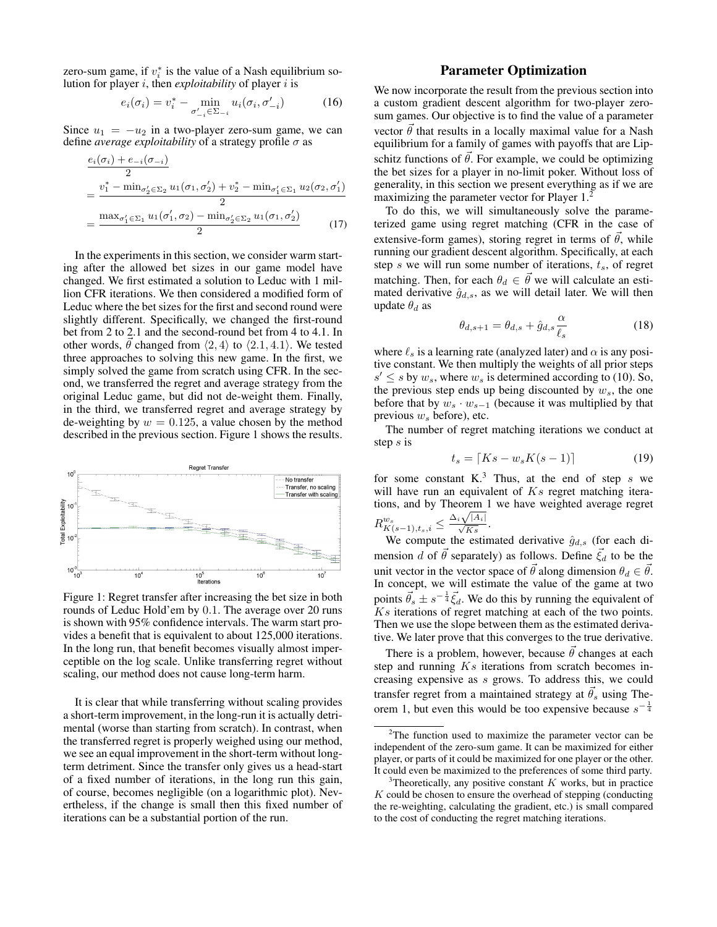zero-sum game, if  $v_i^*$  is the value of a Nash equilibrium solution for player i, then *exploitability* of player i is

$$
e_i(\sigma_i) = v_i^* - \min_{\sigma'_{-i} \in \Sigma_{-i}} u_i(\sigma_i, \sigma'_{-i})
$$
 (16)

Since  $u_1 = -u_2$  in a two-player zero-sum game, we can define *average exploitability* of a strategy profile  $\sigma$  as

$$
\frac{e_i(\sigma_i) + e_{-i}(\sigma_{-i})}{2}
$$
\n
$$
= \frac{v_1^* - \min_{\sigma_2' \in \Sigma_2} u_1(\sigma_1, \sigma_2') + v_2^* - \min_{\sigma_1' \in \Sigma_1} u_2(\sigma_2, \sigma_1')}{2}
$$
\n
$$
= \frac{\max_{\sigma_1' \in \Sigma_1} u_1(\sigma_1', \sigma_2) - \min_{\sigma_2' \in \Sigma_2} u_1(\sigma_1, \sigma_2')}{2}
$$
\n(17)

In the experiments in this section, we consider warm starting after the allowed bet sizes in our game model have changed. We first estimated a solution to Leduc with 1 million CFR iterations. We then considered a modified form of Leduc where the bet sizes for the first and second round were slightly different. Specifically, we changed the first-round bet from 2 to 2.1 and the second-round bet from 4 to 4.1. In other words,  $\vec{\theta}$  changed from  $\langle 2, 4 \rangle$  to  $\langle 2.1, 4.1 \rangle$ . We tested three approaches to solving this new game. In the first, we simply solved the game from scratch using CFR. In the second, we transferred the regret and average strategy from the original Leduc game, but did not de-weight them. Finally, in the third, we transferred regret and average strategy by de-weighting by  $w = 0.125$ , a value chosen by the method described in the previous section. Figure 1 shows the results.



Figure 1: Regret transfer after increasing the bet size in both rounds of Leduc Hold'em by 0.1. The average over 20 runs is shown with 95% confidence intervals. The warm start provides a benefit that is equivalent to about 125,000 iterations. In the long run, that benefit becomes visually almost imperceptible on the log scale. Unlike transferring regret without scaling, our method does not cause long-term harm.

It is clear that while transferring without scaling provides a short-term improvement, in the long-run it is actually detrimental (worse than starting from scratch). In contrast, when the transferred regret is properly weighed using our method, we see an equal improvement in the short-term without longterm detriment. Since the transfer only gives us a head-start of a fixed number of iterations, in the long run this gain, of course, becomes negligible (on a logarithmic plot). Nevertheless, if the change is small then this fixed number of iterations can be a substantial portion of the run.

## Parameter Optimization

We now incorporate the result from the previous section into a custom gradient descent algorithm for two-player zerosum games. Our objective is to find the value of a parameter vector  $\vec{\theta}$  that results in a locally maximal value for a Nash equilibrium for a family of games with payoffs that are Lipschitz functions of  $\vec{\theta}$ . For example, we could be optimizing the bet sizes for a player in no-limit poker. Without loss of generality, in this section we present everything as if we are maximizing the parameter vector for Player 1.

To do this, we will simultaneously solve the parameterized game using regret matching (CFR in the case of extensive-form games), storing regret in terms of  $\vec{\theta}$ , while running our gradient descent algorithm. Specifically, at each step s we will run some number of iterations,  $t_s$ , of regret matching. Then, for each  $\theta_d \in \overline{\theta}$  we will calculate an estimated derivative  $\hat{g}_{d,s}$ , as we will detail later. We will then update  $\theta_d$  as

$$
\theta_{d,s+1} = \theta_{d,s} + \hat{g}_{d,s} \frac{\alpha}{\ell_s} \tag{18}
$$

where  $\ell_s$  is a learning rate (analyzed later) and  $\alpha$  is any positive constant. We then multiply the weights of all prior steps  $s' \leq s$  by  $w_s$ , where  $w_s$  is determined according to (10). So, the previous step ends up being discounted by  $w_s$ , the one before that by  $w_s \cdot w_{s-1}$  (because it was multiplied by that previous  $w<sub>s</sub>$  before), etc.

The number of regret matching iterations we conduct at step s is

$$
t_s = \lceil Ks - w_s K(s - 1) \rceil \tag{19}
$$

for some constant  $K<sup>3</sup>$ . Thus, at the end of step s we will have run an equivalent of  $Ks$  regret matching iterations, and by Theorem 1 we have weighted average regret  $R_{K(s-1),t_s,i}^{w_s} \leq \frac{\Delta_i \sqrt{|A_i|}}{\sqrt{Ks}}.$ 

We compute the estimated derivative  $\hat{g}_{d,s}$  (for each dimension d of  $\vec{\theta}$  separately) as follows. Define  $\vec{\xi_d}$  to be the unit vector in the vector space of  $\vec{\theta}$  along dimension  $\theta_d \in \vec{\theta}$ . In concept, we will estimate the value of the game at two points  $\vec{\theta}_s \pm s^{-\frac{1}{4}} \vec{\xi}_d$ . We do this by running the equivalent of Ks iterations of regret matching at each of the two points. Then we use the slope between them as the estimated derivative. We later prove that this converges to the true derivative.

There is a problem, however, because  $\vec{\theta}$  changes at each step and running  $Ks$  iterations from scratch becomes increasing expensive as s grows. To address this, we could transfer regret from a maintained strategy at  $\vec{\theta}_s$  using Theorem 1, but even this would be too expensive because  $s^{-\frac{1}{4}}$ 

 $2$ The function used to maximize the parameter vector can be independent of the zero-sum game. It can be maximized for either player, or parts of it could be maximized for one player or the other. It could even be maximized to the preferences of some third party.

<sup>&</sup>lt;sup>3</sup>Theoretically, any positive constant  $K$  works, but in practice  $K$  could be chosen to ensure the overhead of stepping (conducting the re-weighting, calculating the gradient, etc.) is small compared to the cost of conducting the regret matching iterations.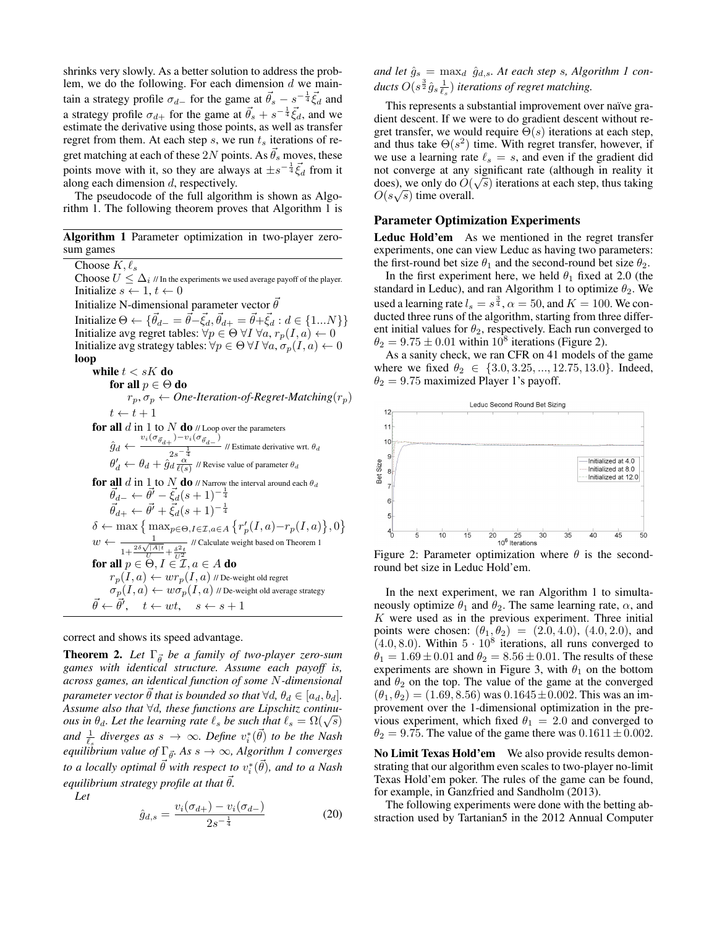shrinks very slowly. As a better solution to address the problem, we do the following. For each dimension  $d$  we maintain a strategy profile  $\sigma_{d-}$  for the game at  $\vec{\theta}_s - s^{-\frac{1}{4}} \vec{\xi}_d$  and a strategy profile  $\sigma_{d+}$  for the game at  $\vec{\theta}_s + s^{-\frac{1}{4}} \vec{\xi}_d$ , and we estimate the derivative using those points, as well as transfer regret from them. At each step  $s$ , we run  $t_s$  iterations of regret matching at each of these 2N points. As  $\vec{\theta}_s$  moves, these points move with it, so they are always at  $\pm s^{-\frac{1}{4}}\vec{\xi}_d$  from it along each dimension d, respectively.

The pseudocode of the full algorithm is shown as Algorithm 1. The following theorem proves that Algorithm 1 is

|           |  | Algorithm 1 Parameter optimization in two-player zero- |  |  |
|-----------|--|--------------------------------------------------------|--|--|
| sum games |  |                                                        |  |  |

Choose  $K, \ell_s$  $\text{Choose}\ U\leq \Delta_i$  // In the experiments we used average payoff of the player. Initialize  $s \leftarrow 1, t \leftarrow 0$ Initialize N-dimensional parameter vector  $\vec{\theta}$ Initialize  $\Theta \leftarrow \{ \vec{\theta}_{d-} = \vec{\theta} - \vec{\xi}_d, \vec{\theta}_{d+} = \vec{\theta} + \vec{\xi}_d : d \in \{1...N\} \}$ Initialize avg regret tables:  $\forall p \in \Theta \; \forall I \; \forall a, r_p(I,a) \leftarrow 0$ Initialize avg strategy tables:  $\forall p \in \Theta \ \forall I \ \forall a, \sigma_p(I, a) \leftarrow 0$ loop while  $t < sK$  do for all  $p \in \Theta$  do  $r_p, \sigma_p \leftarrow$  *One-Iteration-of-Regret-Matching* $(r_p)$  $t \leftarrow t + 1$ for all  $d$  in  $1$  to  $N$  do  $\#$  Loop over the parameters  $\hat{g}_d \leftarrow \frac{v_i(\sigma_{\vec{\theta}_{d+}}) - v_i(\sigma_{\vec{\theta}_{d-}})}{2-\frac{1}{2}}$  $\frac{1}{2s-1}$  // Estimate derivative wrt.  $\theta_d$  $\theta'_d \leftarrow \theta_d + \hat{g}_d \frac{\alpha}{\ell(s)}$  // Revise value of parameter  $\theta_d$ for all  $d$  in  $1$  to  $N$  do  $\theta$  Narrow the interval around each  $\theta_d$  $\vec{\theta}_{d-} \leftarrow \vec{\theta'} - \vec{\xi_d}(s+1)^{-\frac{1}{4}}$  $\vec{\theta}_{d+} \leftarrow \vec{\theta'} + \vec{\xi_d}(s+1)^{-\frac{1}{4}}$  $\delta \leftarrow \max\left\{\max_{p\in\Theta, I\in\mathcal{I},a\in A}\left\{r'_p(I,a)-r_p(I,a)\right\},0\right\}$  $w \leftarrow \frac{1}{1 + \frac{2\delta\sqrt{|A|t}}{U} + \frac{\delta^2 t}{U^2}}$ // Calculate weight based on Theorem 1 for all  $p \in \Theta, I \in \mathcal{I}, a \in A$  do  $r_p(I,a) \leftarrow wr_p(I,a)$  // De-weight old regret  $\sigma_p(I,a) \leftarrow w \sigma_p(I,a)$  // De-weight old average strategy  $\vec{\theta} \leftarrow \vec{\theta}', \quad t \leftarrow wt, \quad s \leftarrow s + 1$ 

correct and shows its speed advantage.

**Theorem 2.** Let  $\Gamma_{\vec{\theta}}$  be a family of two-player zero-sum *games with identical structure. Assume each payoff is, across games, an identical function of some* N*-dimensional parameter vector*  $\vec{\theta}$  *that is bounded so that*  $\forall d, \theta_d \in [a_d, b_d]$ *. Assume also that* ∀d*, these functions are Lipschitz continuous in*  $\theta_d$ *. Let the learning rate*  $\ell_s$  *be such that*  $\ell_s = \Omega(\sqrt{s})$ and  $\frac{1}{\ell_s}$  diverges as  $s \to \infty$ . Define  $v_i^*(\vec{\theta})$  to be the Nash *equilibrium value of*  $\Gamma_{\vec{\theta}}$ *. As*  $s \to \infty$ *, Algorithm 1 converges* to a locally optimal  $\vec{\theta}$  with respect to  $v_i^*(\vec{\theta})$ , and to a Nash *equilibrium strategy profile at that*  $\vec{\theta}$ *.* 

*Let*

$$
\hat{g}_{d,s} = \frac{v_i(\sigma_{d+}) - v_i(\sigma_{d-})}{2s^{-\frac{1}{4}}}
$$
\n(20)

and let  $\hat{g}_s = \max_d \hat{g}_{d,s}$ . At each step s, Algorithm 1 conducts  $O(s^{\frac{3}{2}}\hat{g}_s \frac{1}{\ell_s})$  iterations of regret matching.

This represents a substantial improvement over naïve gradient descent. If we were to do gradient descent without regret transfer, we would require  $\Theta(s)$  iterations at each step, and thus take  $\Theta(s^2)$  time. With regret transfer, however, if we use a learning rate  $\ell_s = s$ , and even if the gradient did not converge at any significant rate (although in reality it does), we only do  $O(\sqrt{s})$  iterations at each step, thus taking  $O(s\sqrt{s})$  time overall.

### Parameter Optimization Experiments

Leduc Hold'em As we mentioned in the regret transfer experiments, one can view Leduc as having two parameters: the first-round bet size  $\theta_1$  and the second-round bet size  $\theta_2$ .

In the first experiment here, we held  $\theta_1$  fixed at 2.0 (the standard in Leduc), and ran Algorithm 1 to optimize  $\theta_2$ . We used a learning rate  $l_s = s^{\frac{3}{4}}, \alpha = 50$ , and  $K = 100$ . We conducted three runs of the algorithm, starting from three different initial values for  $\theta_2$ , respectively. Each run converged to  $\theta_2 = 9.75 \pm 0.01$  within  $10^8$  iterations (Figure 2).

As a sanity check, we ran CFR on 41 models of the game where we fixed  $\theta_2 \in \{3.0, 3.25, ..., 12.75, 13.0\}$ . Indeed,  $\theta_2 = 9.75$  maximized Player 1's payoff.



Figure 2: Parameter optimization where  $\theta$  is the secondround bet size in Leduc Hold'em.

In the next experiment, we ran Algorithm 1 to simultaneously optimize  $\theta_1$  and  $\theta_2$ . The same learning rate,  $\alpha$ , and  $K$  were used as in the previous experiment. Three initial points were chosen:  $(\theta_1, \theta_2) = (2.0, 4.0), (4.0, 2.0),$  and  $(4.0, 8.0)$ . Within  $5 \cdot 10^8$  iterations, all runs converged to  $\theta_1 = 1.69 \pm 0.01$  and  $\theta_2 = 8.56 \pm 0.01$ . The results of these experiments are shown in Figure 3, with  $\theta_1$  on the bottom and  $\theta_2$  on the top. The value of the game at the converged  $(\theta_1, \theta_2) = (1.69, 8.56)$  was  $0.1645 \pm 0.002$ . This was an improvement over the 1-dimensional optimization in the previous experiment, which fixed  $\theta_1 = 2.0$  and converged to  $\theta_2 = 9.75$ . The value of the game there was  $0.1611 \pm 0.002$ .

No Limit Texas Hold'em We also provide results demonstrating that our algorithm even scales to two-player no-limit Texas Hold'em poker. The rules of the game can be found, for example, in Ganzfried and Sandholm (2013).

The following experiments were done with the betting abstraction used by Tartanian5 in the 2012 Annual Computer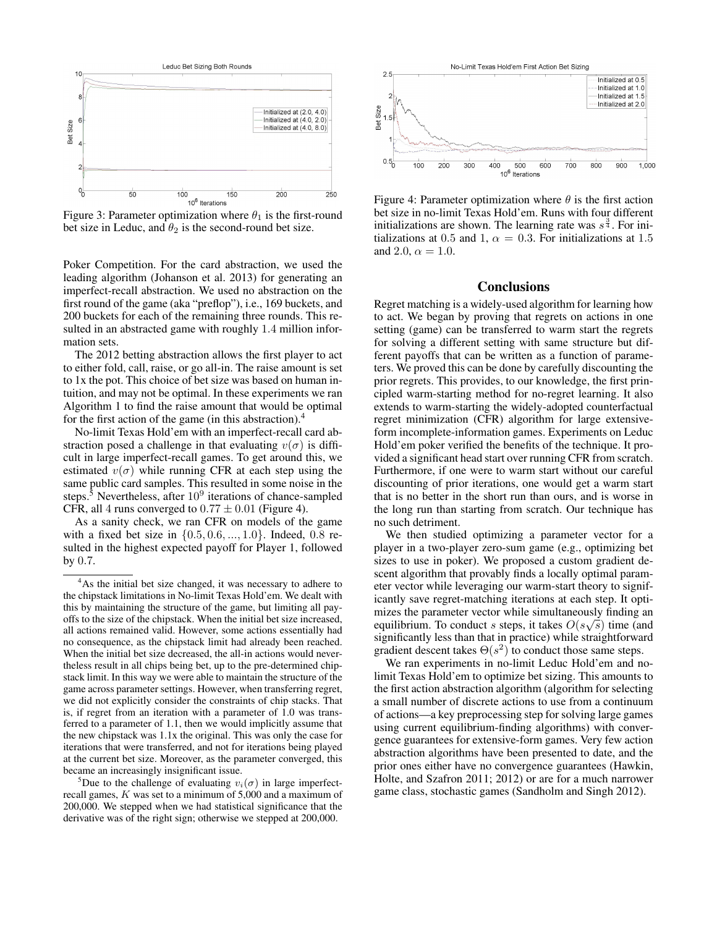

Figure 3: Parameter optimization where  $\theta_1$  is the first-round bet size in Leduc, and  $\theta_2$  is the second-round bet size.

Poker Competition. For the card abstraction, we used the leading algorithm (Johanson et al. 2013) for generating an imperfect-recall abstraction. We used no abstraction on the first round of the game (aka "preflop"), i.e., 169 buckets, and 200 buckets for each of the remaining three rounds. This resulted in an abstracted game with roughly 1.4 million information sets.

The 2012 betting abstraction allows the first player to act to either fold, call, raise, or go all-in. The raise amount is set to 1x the pot. This choice of bet size was based on human intuition, and may not be optimal. In these experiments we ran Algorithm 1 to find the raise amount that would be optimal for the first action of the game (in this abstraction).<sup>4</sup>

No-limit Texas Hold'em with an imperfect-recall card abstraction posed a challenge in that evaluating  $v(\sigma)$  is difficult in large imperfect-recall games. To get around this, we estimated  $v(\sigma)$  while running CFR at each step using the same public card samples. This resulted in some noise in the steps.<sup>5</sup> Nevertheless, after  $10^9$  iterations of chance-sampled CFR, all 4 runs converged to  $0.77 \pm 0.01$  (Figure 4).

As a sanity check, we ran CFR on models of the game with a fixed bet size in  $\{0.5, 0.6, ..., 1.0\}$ . Indeed, 0.8 resulted in the highest expected payoff for Player 1, followed by 0.7.



Figure 4: Parameter optimization where  $\theta$  is the first action bet size in no-limit Texas Hold'em. Runs with four different initializations are shown. The learning rate was  $s^{\frac{3}{4}}$ . For initializations at 0.5 and 1,  $\alpha = 0.3$ . For initializations at 1.5 and 2.0,  $\alpha = 1.0$ .

#### Conclusions

Regret matching is a widely-used algorithm for learning how to act. We began by proving that regrets on actions in one setting (game) can be transferred to warm start the regrets for solving a different setting with same structure but different payoffs that can be written as a function of parameters. We proved this can be done by carefully discounting the prior regrets. This provides, to our knowledge, the first principled warm-starting method for no-regret learning. It also extends to warm-starting the widely-adopted counterfactual regret minimization (CFR) algorithm for large extensiveform incomplete-information games. Experiments on Leduc Hold'em poker verified the benefits of the technique. It provided a significant head start over running CFR from scratch. Furthermore, if one were to warm start without our careful discounting of prior iterations, one would get a warm start that is no better in the short run than ours, and is worse in the long run than starting from scratch. Our technique has no such detriment.

We then studied optimizing a parameter vector for a player in a two-player zero-sum game (e.g., optimizing bet sizes to use in poker). We proposed a custom gradient descent algorithm that provably finds a locally optimal parameter vector while leveraging our warm-start theory to significantly save regret-matching iterations at each step. It optimizes the parameter vector while simultaneously finding an equilibrium. To conduct s steps, it takes  $O(s\sqrt{s})$  time (and significantly less than that in practice) while straightforward gradient descent takes  $\Theta(s^2)$  to conduct those same steps.

We ran experiments in no-limit Leduc Hold'em and nolimit Texas Hold'em to optimize bet sizing. This amounts to the first action abstraction algorithm (algorithm for selecting a small number of discrete actions to use from a continuum of actions—a key preprocessing step for solving large games using current equilibrium-finding algorithms) with convergence guarantees for extensive-form games. Very few action abstraction algorithms have been presented to date, and the prior ones either have no convergence guarantees (Hawkin, Holte, and Szafron 2011; 2012) or are for a much narrower game class, stochastic games (Sandholm and Singh 2012).

<sup>4</sup>As the initial bet size changed, it was necessary to adhere to the chipstack limitations in No-limit Texas Hold'em. We dealt with this by maintaining the structure of the game, but limiting all payoffs to the size of the chipstack. When the initial bet size increased, all actions remained valid. However, some actions essentially had no consequence, as the chipstack limit had already been reached. When the initial bet size decreased, the all-in actions would nevertheless result in all chips being bet, up to the pre-determined chipstack limit. In this way we were able to maintain the structure of the game across parameter settings. However, when transferring regret, we did not explicitly consider the constraints of chip stacks. That is, if regret from an iteration with a parameter of 1.0 was transferred to a parameter of 1.1, then we would implicitly assume that the new chipstack was 1.1x the original. This was only the case for iterations that were transferred, and not for iterations being played at the current bet size. Moreover, as the parameter converged, this became an increasingly insignificant issue.

<sup>&</sup>lt;sup>5</sup>Due to the challenge of evaluating  $v_i(\sigma)$  in large imperfectrecall games, K was set to a minimum of 5,000 and a maximum of 200,000. We stepped when we had statistical significance that the derivative was of the right sign; otherwise we stepped at 200,000.